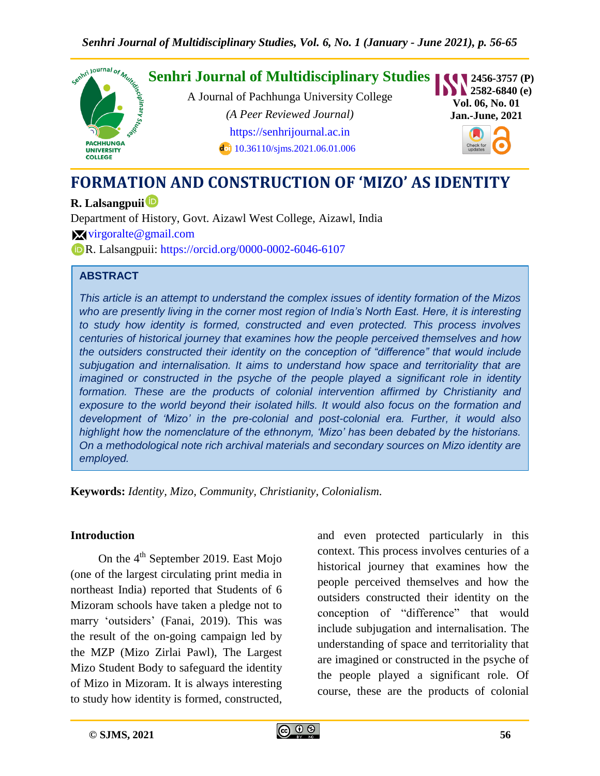

# **FORMATION AND CONSTRUCTION OF 'MIZO' AS IDENTITY**

**R. Lalsangpuii**

Department of History, Govt. Aizawl West College, Aizawl, India

 $\mathbf{\times}$  [virgoralte@gmail.com](mailto:virgoralte@gmail.com)

R. Lalsangpuii:<https://orcid.org/0000-0002-6046-6107>

#### **ABSTRACT**

*This article is an attempt to understand the complex issues of identity formation of the Mizos*  who are presently living in the corner most region of India's North East. Here, it is interesting *to study how identity is formed, constructed and even protected. This process involves centuries of historical journey that examines how the people perceived themselves and how the outsiders constructed their identity on the conception of "difference" that would include subjugation and internalisation. It aims to understand how space and territoriality that are imagined or constructed in the psyche of the people played a significant role in identity formation. These are the products of colonial intervention affirmed by Christianity and exposure to the world beyond their isolated hills. It would also focus on the formation and development of "Mizo" in the pre-colonial and post-colonial era. Further, it would also highlight how the nomenclature of the ethnonym, "Mizo" has been debated by the historians. On a methodological note rich archival materials and secondary sources on Mizo identity are employed.*

**Keywords:** *Identity, Mizo, Community, Christianity, Colonialism.*

#### **Introduction**

On the  $4<sup>th</sup>$  September 2019. East Mojo (one of the largest circulating print media in northeast India) reported that Students of 6 Mizoram schools have taken a pledge not to marry "outsiders" (Fanai, 2019). This was the result of the on-going campaign led by the MZP (Mizo Zirlai Pawl), The Largest Mizo Student Body to safeguard the identity of Mizo in Mizoram. It is always interesting to study how identity is formed, constructed,

and even protected particularly in this context. This process involves centuries of a historical journey that examines how the people perceived themselves and how the outsiders constructed their identity on the conception of "difference" that would include subjugation and internalisation. The understanding of space and territoriality that are imagined or constructed in the psyche of the people played a significant role. Of course, these are the products of colonial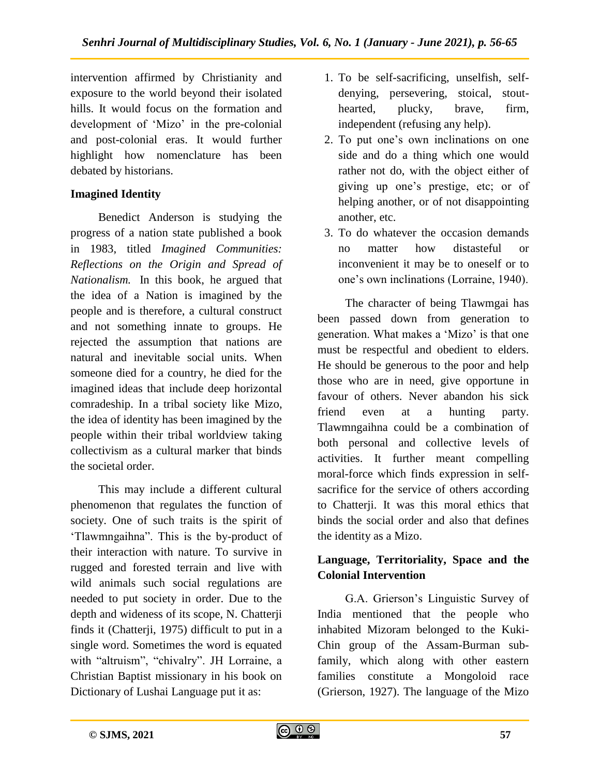intervention affirmed by Christianity and exposure to the world beyond their isolated hills. It would focus on the formation and development of "Mizo" in the pre-colonial and post-colonial eras. It would further highlight how nomenclature has been debated by historians.

#### **Imagined Identity**

Benedict Anderson is studying the progress of a nation state published a book in 1983, titled *Imagined Communities: Reflections on the Origin and Spread of Nationalism.* In this book, he argued that the idea of a Nation is imagined by the people and is therefore, a cultural construct and not something innate to groups. He rejected the assumption that nations are natural and inevitable social units. When someone died for a country, he died for the imagined ideas that include deep horizontal comradeship. In a tribal society like Mizo, the idea of identity has been imagined by the people within their tribal worldview taking collectivism as a cultural marker that binds the societal order.

This may include a different cultural phenomenon that regulates the function of society. One of such traits is the spirit of "Tlawmngaihna". This is the by-product of their interaction with nature. To survive in rugged and forested terrain and live with wild animals such social regulations are needed to put society in order. Due to the depth and wideness of its scope, N. Chatterji finds it (Chatterji, 1975) difficult to put in a single word. Sometimes the word is equated with "altruism", "chivalry". JH Lorraine, a Christian Baptist missionary in his book on Dictionary of Lushai Language put it as:

- 1. To be self-sacrificing, unselfish, selfdenying, persevering, stoical, stouthearted, plucky, brave, firm, independent (refusing any help).
- 2. To put one"s own inclinations on one side and do a thing which one would rather not do, with the object either of giving up one"s prestige, etc; or of helping another, or of not disappointing another, etc.
- 3. To do whatever the occasion demands no matter how distasteful or inconvenient it may be to oneself or to one"s own inclinations (Lorraine, 1940).

The character of being Tlawmgai has been passed down from generation to generation. What makes a 'Mizo' is that one must be respectful and obedient to elders. He should be generous to the poor and help those who are in need, give opportune in favour of others. Never abandon his sick friend even at a hunting party. Tlawmngaihna could be a combination of both personal and collective levels of activities. It further meant compelling moral-force which finds expression in selfsacrifice for the service of others according to Chatterji. It was this moral ethics that binds the social order and also that defines the identity as a Mizo.

## **Language, Territoriality, Space and the Colonial Intervention**

G.A. Grierson"s Linguistic Survey of India mentioned that the people who inhabited Mizoram belonged to the Kuki-Chin group of the Assam-Burman subfamily, which along with other eastern families constitute a Mongoloid race (Grierson, 1927). The language of the Mizo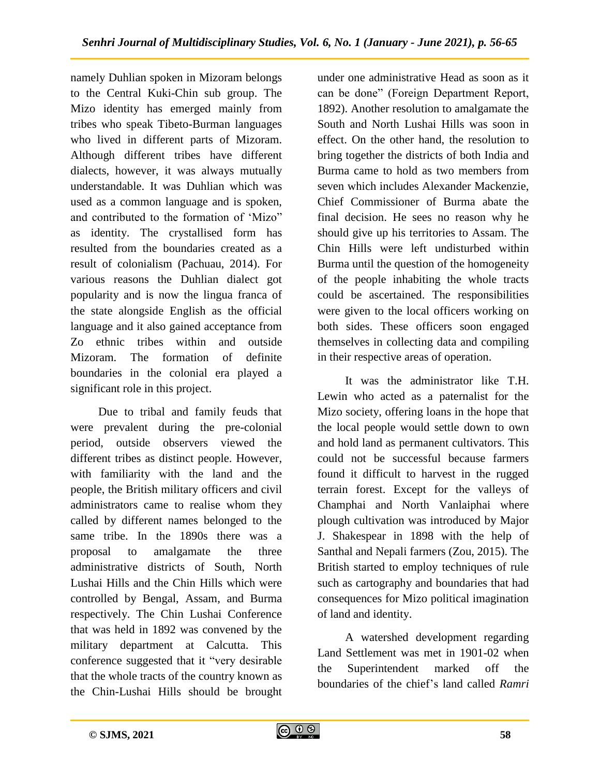namely Duhlian spoken in Mizoram belongs to the Central Kuki-Chin sub group. The Mizo identity has emerged mainly from tribes who speak Tibeto-Burman languages who lived in different parts of Mizoram. Although different tribes have different dialects, however, it was always mutually understandable. It was Duhlian which was used as a common language and is spoken, and contributed to the formation of "Mizo" as identity. The crystallised form has resulted from the boundaries created as a result of colonialism (Pachuau, 2014). For various reasons the Duhlian dialect got popularity and is now the lingua franca of the state alongside English as the official language and it also gained acceptance from Zo ethnic tribes within and outside Mizoram. The formation of definite boundaries in the colonial era played a significant role in this project.

Due to tribal and family feuds that were prevalent during the pre-colonial period, outside observers viewed the different tribes as distinct people. However, with familiarity with the land and the people, the British military officers and civil administrators came to realise whom they called by different names belonged to the same tribe. In the 1890s there was a proposal to amalgamate the three administrative districts of South, North Lushai Hills and the Chin Hills which were controlled by Bengal, Assam, and Burma respectively. The Chin Lushai Conference that was held in 1892 was convened by the military department at Calcutta. This conference suggested that it "very desirable that the whole tracts of the country known as the Chin-Lushai Hills should be brought

under one administrative Head as soon as it can be done" (Foreign Department Report, 1892). Another resolution to amalgamate the South and North Lushai Hills was soon in effect. On the other hand, the resolution to bring together the districts of both India and Burma came to hold as two members from seven which includes Alexander Mackenzie, Chief Commissioner of Burma abate the final decision. He sees no reason why he should give up his territories to Assam. The Chin Hills were left undisturbed within Burma until the question of the homogeneity of the people inhabiting the whole tracts could be ascertained. The responsibilities were given to the local officers working on both sides. These officers soon engaged themselves in collecting data and compiling in their respective areas of operation.

It was the administrator like T.H. Lewin who acted as a paternalist for the Mizo society, offering loans in the hope that the local people would settle down to own and hold land as permanent cultivators. This could not be successful because farmers found it difficult to harvest in the rugged terrain forest. Except for the valleys of Champhai and North Vanlaiphai where plough cultivation was introduced by Major J. Shakespear in 1898 with the help of Santhal and Nepali farmers (Zou, 2015). The British started to employ techniques of rule such as cartography and boundaries that had consequences for Mizo political imagination of land and identity.

A watershed development regarding Land Settlement was met in 1901-02 when the Superintendent marked off the boundaries of the chief"s land called *Ramri*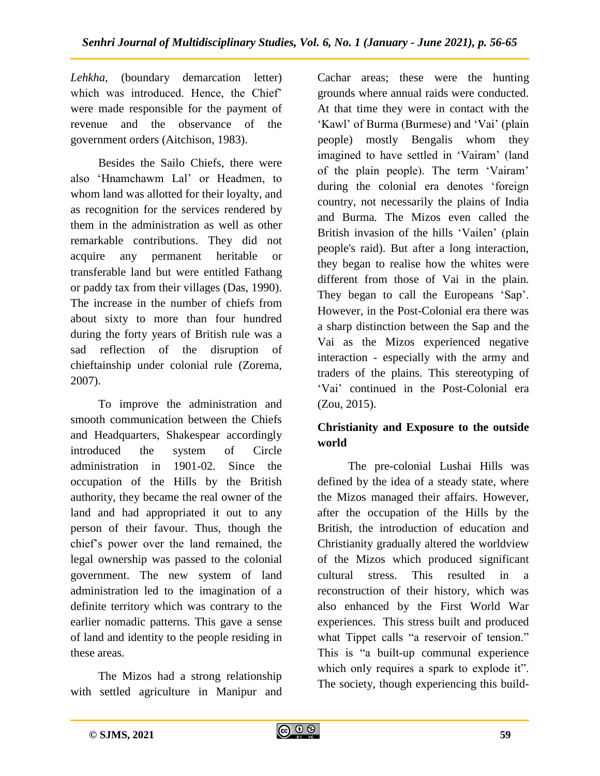*Lehkha,* (boundary demarcation letter) which was introduced. Hence, the Chief' were made responsible for the payment of revenue and the observance of the government orders (Aitchison, 1983).

Besides the Sailo Chiefs, there were also "Hnamchawm Lal" or Headmen, to whom land was allotted for their loyalty, and as recognition for the services rendered by them in the administration as well as other remarkable contributions. They did not acquire any permanent heritable or transferable land but were entitled Fathang or paddy tax from their villages (Das, 1990). The increase in the number of chiefs from about sixty to more than four hundred during the forty years of British rule was a sad reflection of the disruption of chieftainship under colonial rule (Zorema, 2007).

To improve the administration and smooth communication between the Chiefs and Headquarters, Shakespear accordingly introduced the system of Circle administration in 1901-02. Since the occupation of the Hills by the British authority, they became the real owner of the land and had appropriated it out to any person of their favour. Thus, though the chief"s power over the land remained, the legal ownership was passed to the colonial government. The new system of land administration led to the imagination of a definite territory which was contrary to the earlier nomadic patterns. This gave a sense of land and identity to the people residing in these areas.

The Mizos had a strong relationship with settled agriculture in Manipur and Cachar areas; these were the hunting grounds where annual raids were conducted. At that time they were in contact with the 'Kawl' of Burma (Burmese) and 'Vai' (plain people) mostly Bengalis whom they imagined to have settled in 'Vairam' (land of the plain people). The term "Vairam" during the colonial era denotes "foreign country, not necessarily the plains of India and Burma. The Mizos even called the British invasion of the hills 'Vailen' (plain people's raid). But after a long interaction, they began to realise how the whites were different from those of Vai in the plain. They began to call the Europeans 'Sap'. However, in the Post-Colonial era there was a sharp distinction between the Sap and the Vai as the Mizos experienced negative interaction - especially with the army and traders of the plains. This stereotyping of "Vai" continued in the Post-Colonial era (Zou, 2015).

## **Christianity and Exposure to the outside world**

The pre-colonial Lushai Hills was defined by the idea of a steady state, where the Mizos managed their affairs. However, after the occupation of the Hills by the British, the introduction of education and Christianity gradually altered the worldview of the Mizos which produced significant cultural stress. This resulted in a reconstruction of their history, which was also enhanced by the First World War experiences. This stress built and produced what Tippet calls "a reservoir of tension." This is "a built-up communal experience which only requires a spark to explode it". The society, though experiencing this build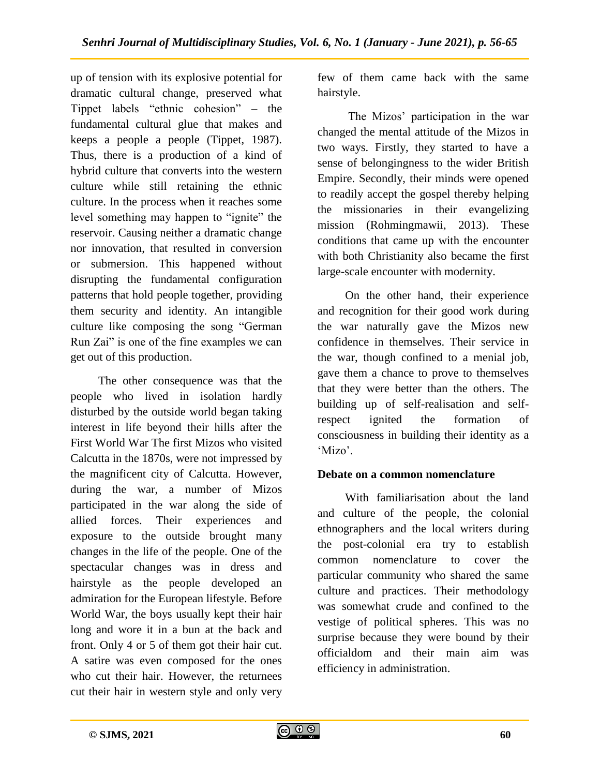up of tension with its explosive potential for dramatic cultural change, preserved what Tippet labels "ethnic cohesion" – the fundamental cultural glue that makes and keeps a people a people (Tippet, 1987). Thus, there is a production of a kind of hybrid culture that converts into the western culture while still retaining the ethnic culture. In the process when it reaches some level something may happen to "ignite" the reservoir. Causing neither a dramatic change nor innovation, that resulted in conversion or submersion. This happened without disrupting the fundamental configuration patterns that hold people together, providing them security and identity. An intangible culture like composing the song "German Run Zai" is one of the fine examples we can get out of this production.

The other consequence was that the people who lived in isolation hardly disturbed by the outside world began taking interest in life beyond their hills after the First World War The first Mizos who visited Calcutta in the 1870s, were not impressed by the magnificent city of Calcutta. However, during the war, a number of Mizos participated in the war along the side of allied forces. Their experiences and exposure to the outside brought many changes in the life of the people. One of the spectacular changes was in dress and hairstyle as the people developed an admiration for the European lifestyle. Before World War, the boys usually kept their hair long and wore it in a bun at the back and front. Only 4 or 5 of them got their hair cut. A satire was even composed for the ones who cut their hair. However, the returnees cut their hair in western style and only very

few of them came back with the same hairstyle.

The Mizos' participation in the war changed the mental attitude of the Mizos in two ways. Firstly, they started to have a sense of belongingness to the wider British Empire. Secondly, their minds were opened to readily accept the gospel thereby helping the missionaries in their evangelizing mission (Rohmingmawii, 2013). These conditions that came up with the encounter with both Christianity also became the first large-scale encounter with modernity.

On the other hand, their experience and recognition for their good work during the war naturally gave the Mizos new confidence in themselves. Their service in the war, though confined to a menial job, gave them a chance to prove to themselves that they were better than the others. The building up of self-realisation and selfrespect ignited the formation of consciousness in building their identity as a 'Mizo'.

#### **Debate on a common nomenclature**

With familiarisation about the land and culture of the people, the colonial ethnographers and the local writers during the post-colonial era try to establish common nomenclature to cover the particular community who shared the same culture and practices. Their methodology was somewhat crude and confined to the vestige of political spheres. This was no surprise because they were bound by their officialdom and their main aim was efficiency in administration.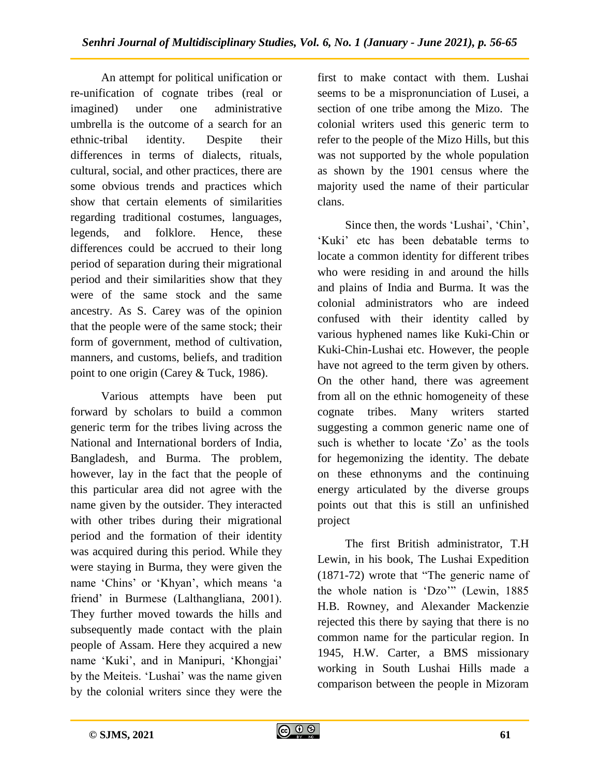An attempt for political unification or re-unification of cognate tribes (real or imagined) under one administrative umbrella is the outcome of a search for an ethnic-tribal identity. Despite their differences in terms of dialects, rituals, cultural, social, and other practices, there are some obvious trends and practices which show that certain elements of similarities regarding traditional costumes, languages, legends, and folklore. Hence, these differences could be accrued to their long period of separation during their migrational period and their similarities show that they were of the same stock and the same ancestry. As S. Carey was of the opinion that the people were of the same stock; their form of government, method of cultivation, manners, and customs, beliefs, and tradition point to one origin (Carey & Tuck, 1986).

Various attempts have been put forward by scholars to build a common generic term for the tribes living across the National and International borders of India, Bangladesh, and Burma. The problem, however, lay in the fact that the people of this particular area did not agree with the name given by the outsider. They interacted with other tribes during their migrational period and the formation of their identity was acquired during this period. While they were staying in Burma, they were given the name 'Chins' or 'Khyan', which means 'a friend' in Burmese (Lalthangliana, 2001). They further moved towards the hills and subsequently made contact with the plain people of Assam. Here they acquired a new name 'Kuki', and in Manipuri, 'Khongjai' by the Meiteis. "Lushai" was the name given by the colonial writers since they were the

first to make contact with them. Lushai seems to be a mispronunciation of Lusei, a section of one tribe among the Mizo. The colonial writers used this generic term to refer to the people of the Mizo Hills, but this was not supported by the whole population as shown by the 1901 census where the majority used the name of their particular clans.

Since then, the words 'Lushai', 'Chin', "Kuki" etc has been debatable terms to locate a common identity for different tribes who were residing in and around the hills and plains of India and Burma. It was the colonial administrators who are indeed confused with their identity called by various hyphened names like Kuki-Chin or Kuki-Chin-Lushai etc. However, the people have not agreed to the term given by others. On the other hand, there was agreement from all on the ethnic homogeneity of these cognate tribes. Many writers started suggesting a common generic name one of such is whether to locate 'Zo' as the tools for hegemonizing the identity. The debate on these ethnonyms and the continuing energy articulated by the diverse groups points out that this is still an unfinished project

The first British administrator, T.H Lewin, in his book, The Lushai Expedition (1871-72) wrote that "The generic name of the whole nation is "Dzo"" (Lewin, 1885 H.B. Rowney, and Alexander Mackenzie rejected this there by saying that there is no common name for the particular region. In 1945, H.W. Carter, a BMS missionary working in South Lushai Hills made a comparison between the people in Mizoram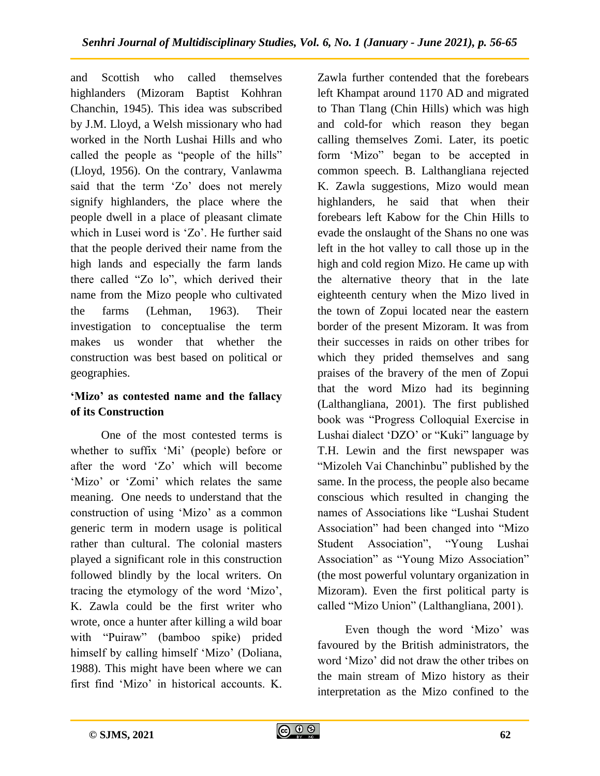and Scottish who called themselves highlanders (Mizoram Baptist Kohhran Chanchin, 1945). This idea was subscribed by J.M. Lloyd, a Welsh missionary who had worked in the North Lushai Hills and who called the people as "people of the hills" (Lloyd, 1956). On the contrary, Vanlawma said that the term 'Zo' does not merely signify highlanders, the place where the people dwell in a place of pleasant climate which in Lusei word is 'Zo'. He further said that the people derived their name from the high lands and especially the farm lands there called "Zo lo", which derived their name from the Mizo people who cultivated the farms (Lehman, 1963). Their investigation to conceptualise the term makes us wonder that whether the construction was best based on political or geographies.

## **'Mizo' as contested name and the fallacy of its Construction**

One of the most contested terms is whether to suffix 'Mi' (people) before or after the word "Zo" which will become 'Mizo' or 'Zomi' which relates the same meaning. One needs to understand that the construction of using "Mizo" as a common generic term in modern usage is political rather than cultural. The colonial masters played a significant role in this construction followed blindly by the local writers. On tracing the etymology of the word "Mizo", K. Zawla could be the first writer who wrote, once a hunter after killing a wild boar with "Puiraw" (bamboo spike) prided himself by calling himself 'Mizo' (Doliana, 1988). This might have been where we can first find "Mizo" in historical accounts. K.

Zawla further contended that the forebears left Khampat around 1170 AD and migrated to Than Tlang (Chin Hills) which was high and cold-for which reason they began calling themselves Zomi. Later, its poetic form "Mizo" began to be accepted in common speech. B. Lalthangliana rejected K. Zawla suggestions, Mizo would mean highlanders, he said that when their forebears left Kabow for the Chin Hills to evade the onslaught of the Shans no one was left in the hot valley to call those up in the high and cold region Mizo. He came up with the alternative theory that in the late eighteenth century when the Mizo lived in the town of Zopui located near the eastern border of the present Mizoram. It was from their successes in raids on other tribes for which they prided themselves and sang praises of the bravery of the men of Zopui that the word Mizo had its beginning (Lalthangliana, 2001). The first published book was "Progress Colloquial Exercise in Lushai dialect "DZO" or "Kuki" language by T.H. Lewin and the first newspaper was "Mizoleh Vai Chanchinbu" published by the same. In the process, the people also became conscious which resulted in changing the names of Associations like "Lushai Student Association" had been changed into "Mizo Student Association", "Young Lushai Association" as "Young Mizo Association" (the most powerful voluntary organization in Mizoram). Even the first political party is called "Mizo Union" (Lalthangliana, 2001).

Even though the word "Mizo" was favoured by the British administrators, the word "Mizo" did not draw the other tribes on the main stream of Mizo history as their interpretation as the Mizo confined to the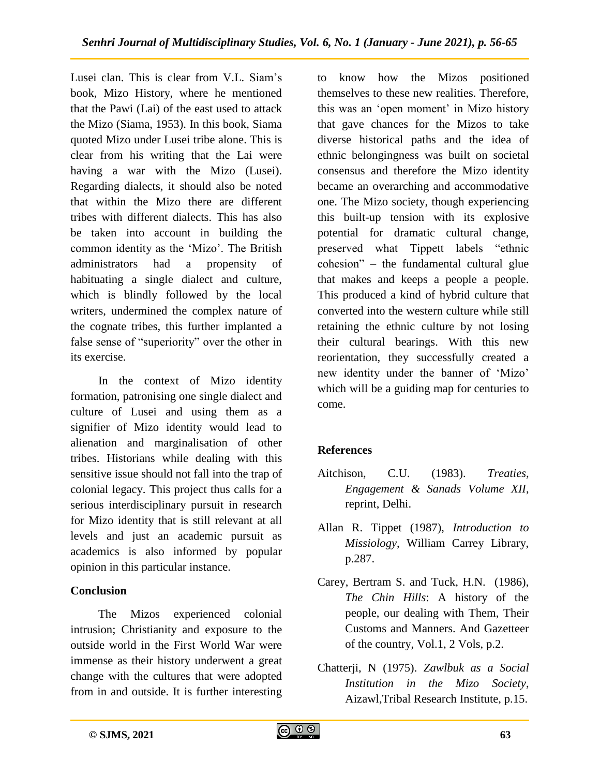Lusei clan. This is clear from V.L. Siam"s book, Mizo History, where he mentioned that the Pawi (Lai) of the east used to attack the Mizo (Siama, 1953). In this book, Siama quoted Mizo under Lusei tribe alone. This is clear from his writing that the Lai were having a war with the Mizo (Lusei). Regarding dialects, it should also be noted that within the Mizo there are different tribes with different dialects. This has also be taken into account in building the common identity as the "Mizo". The British administrators had a propensity of habituating a single dialect and culture, which is blindly followed by the local writers, undermined the complex nature of the cognate tribes, this further implanted a false sense of "superiority" over the other in its exercise.

In the context of Mizo identity formation, patronising one single dialect and culture of Lusei and using them as a signifier of Mizo identity would lead to alienation and marginalisation of other tribes. Historians while dealing with this sensitive issue should not fall into the trap of colonial legacy. This project thus calls for a serious interdisciplinary pursuit in research for Mizo identity that is still relevant at all levels and just an academic pursuit as academics is also informed by popular opinion in this particular instance.

## **Conclusion**

The Mizos experienced colonial intrusion; Christianity and exposure to the outside world in the First World War were immense as their history underwent a great change with the cultures that were adopted from in and outside. It is further interesting

to know how the Mizos positioned themselves to these new realities. Therefore, this was an "open moment" in Mizo history that gave chances for the Mizos to take diverse historical paths and the idea of ethnic belongingness was built on societal consensus and therefore the Mizo identity became an overarching and accommodative one. The Mizo society, though experiencing this built-up tension with its explosive potential for dramatic cultural change, preserved what Tippett labels "ethnic cohesion" – the fundamental cultural glue that makes and keeps a people a people. This produced a kind of hybrid culture that converted into the western culture while still retaining the ethnic culture by not losing their cultural bearings. With this new reorientation, they successfully created a new identity under the banner of "Mizo" which will be a guiding map for centuries to come.

## **References**

- Aitchison, C.U. (1983). *Treaties, Engagement & Sanads Volume XII*, reprint, Delhi.
- Allan R. Tippet (1987), *Introduction to Missiology*, William Carrey Library, p.287.
- Carey, Bertram S. and Tuck, H.N. (1986), *The Chin Hills*: A history of the people, our dealing with Them, Their Customs and Manners. And Gazetteer of the country, Vol.1, 2 Vols, p.2.
- Chatterji, N (1975). *Zawlbuk as a Social Institution in the Mizo Society*, Aizawl,Tribal Research Institute, p.15.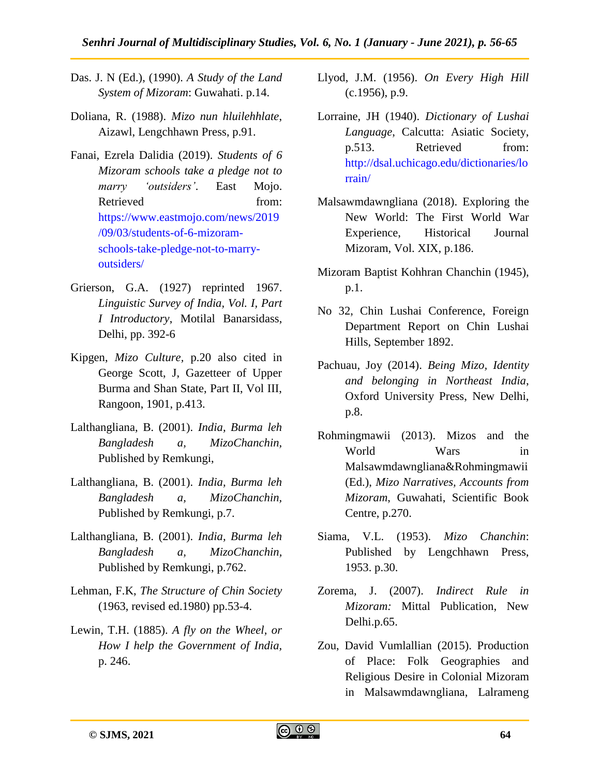- Das. J. N (Ed.), (1990). *A Study of the Land System of Mizoram*: Guwahati. p.14.
- Doliana, R. (1988). *Mizo nun hluilehhlate*, Aizawl, Lengchhawn Press, p.91.
- Fanai, Ezrela Dalidia (2019). *Students of 6 Mizoram schools take a pledge not to marry 'outsiders'*. East Mojo. Retrieved from: [https://www.eastmojo.com/news/2019](https://www.eastmojo.com/news/2019/09/03/students-of-6-mizoram-schools-take-pledge-not-to-marry-outsiders/) [/09/03/students-of-6-mizoram](https://www.eastmojo.com/news/2019/09/03/students-of-6-mizoram-schools-take-pledge-not-to-marry-outsiders/)[schools-take-pledge-not-to-marry](https://www.eastmojo.com/news/2019/09/03/students-of-6-mizoram-schools-take-pledge-not-to-marry-outsiders/)[outsiders/](https://www.eastmojo.com/news/2019/09/03/students-of-6-mizoram-schools-take-pledge-not-to-marry-outsiders/)
- Grierson, G.A. (1927) reprinted 1967. *Linguistic Survey of India, Vol. I, Part I Introductory*, Motilal Banarsidass, Delhi, pp. 392-6
- Kipgen, *Mizo Culture,* p.20 also cited in George Scott, J, Gazetteer of Upper Burma and Shan State, Part II, Vol III, Rangoon, 1901, p.413.
- Lalthangliana, B. (2001). *India, Burma leh Bangladesh a, MizoChanchin,* Published by Remkungi,
- Lalthangliana, B. (2001). *India, Burma leh Bangladesh a, MizoChanchin,* Published by Remkungi, p.7.
- Lalthangliana, B. (2001). *India, Burma leh Bangladesh a, MizoChanchin,* Published by Remkungi, p.762.
- Lehman, F.K, *The Structure of Chin Society* (1963, revised ed.1980) pp.53-4.
- Lewin, T.H. (1885). *A fly on the Wheel, or How I help the Government of India,*  p. 246.
- Llyod, J.M. (1956). *On Every High Hill* (c.1956), p.9.
- Lorraine, JH (1940). *Dictionary of Lushai Language*, Calcutta: Asiatic Society, p.513. Retrieved from: [http://dsal.uchicago.edu/dictionaries/lo](http://dsal.uchicago.edu/dictionaries/lorrain/) [rrain/](http://dsal.uchicago.edu/dictionaries/lorrain/)
- Malsawmdawngliana (2018). Exploring the New World: The First World War Experience, Historical Journal Mizoram, Vol. XIX, p.186.
- Mizoram Baptist Kohhran Chanchin (1945), p.1.
- No 32, Chin Lushai Conference, Foreign Department Report on Chin Lushai Hills, September 1892.
- Pachuau, Joy (2014). *Being Mizo, Identity and belonging in Northeast India*, Oxford University Press, New Delhi, p.8.
- Rohmingmawii (2013). Mizos and the World Wars in Malsawmdawngliana&Rohmingmawii (Ed.), *Mizo Narratives, Accounts from Mizoram*, Guwahati, Scientific Book Centre, p.270.
- Siama, V.L. (1953). *Mizo Chanchin*: Published by Lengchhawn Press, 1953. p.30.
- Zorema, J. (2007). *Indirect Rule in Mizoram:* Mittal Publication, New Delhi.p.65.
- Zou, David Vumlallian (2015). Production of Place: Folk Geographies and Religious Desire in Colonial Mizoram in Malsawmdawngliana, Lalrameng